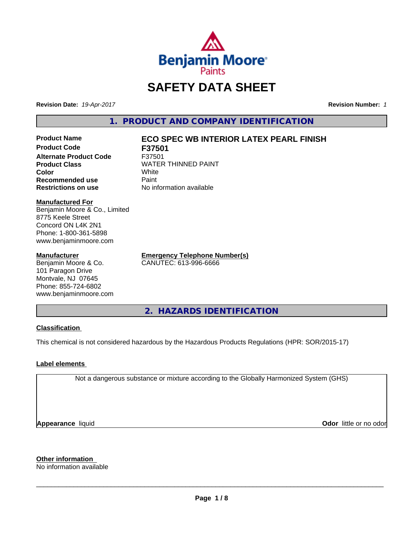

# **SAFETY DATA SHEET**

**Revision Date:** *19-Apr-2017* **Revision Number:** *1*

**1. PRODUCT AND COMPANY IDENTIFICATION**

**Product Code F37501 Alternate Product Code** F37501 **Recommended use Paint Restrictions on use** No information available

## **Product Name ECO SPEC WB INTERIOR LATEX PEARL FINISH**

**Product Class** WATER THINNED PAINT<br>
Color **Color** White

#### **Manufactured For**

Benjamin Moore & Co., Limited 8775 Keele Street Concord ON L4K 2N1 Phone: 1-800-361-5898 www.benjaminmoore.com

#### **Manufacturer**

Benjamin Moore & Co. 101 Paragon Drive Montvale, NJ 07645 Phone: 855-724-6802 www.benjaminmoore.com **Emergency Telephone Number(s)** CANUTEC: 613-996-6666

**2. HAZARDS IDENTIFICATION**

#### **Classification**

This chemical is not considered hazardous by the Hazardous Products Regulations (HPR: SOR/2015-17)

#### **Label elements**

Not a dangerous substance or mixture according to the Globally Harmonized System (GHS)

**Appearance** liquid

**Odor** little or no odor

**Other information**

No information available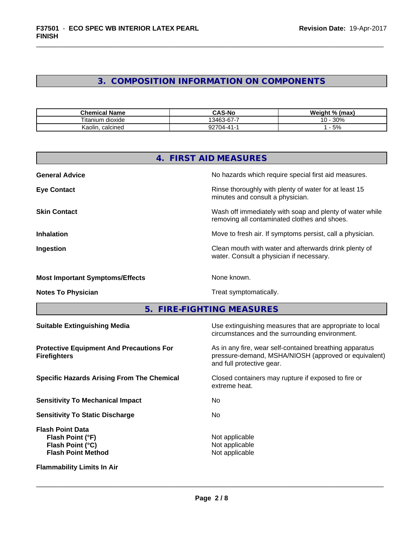## **3. COMPOSITION INFORMATION ON COMPONENTS**

| .<br><b>Chemical Name</b>         | <b>CAS-No</b>                            | Weight %<br>(max)   |
|-----------------------------------|------------------------------------------|---------------------|
| $- \cdot$<br>itanium<br>ı dioxide | 3463<br>$\sim$ $\sim$<br>. ′−01−دن.<br>ີ | 30%<br>. .<br>. U - |
| calcined<br>Kaolin.               | nn70<br>(14-41-<br>JZ.                   | - 5%                |

|                                                                                              | 4. FIRST AID MEASURES                                                                                                                        |
|----------------------------------------------------------------------------------------------|----------------------------------------------------------------------------------------------------------------------------------------------|
| <b>General Advice</b>                                                                        | No hazards which require special first aid measures.                                                                                         |
| <b>Eye Contact</b>                                                                           | Rinse thoroughly with plenty of water for at least 15<br>minutes and consult a physician.                                                    |
| <b>Skin Contact</b>                                                                          | Wash off immediately with soap and plenty of water while<br>removing all contaminated clothes and shoes.                                     |
| <b>Inhalation</b>                                                                            | Move to fresh air. If symptoms persist, call a physician.                                                                                    |
| Ingestion                                                                                    | Clean mouth with water and afterwards drink plenty of<br>water. Consult a physician if necessary.                                            |
| <b>Most Important Symptoms/Effects</b>                                                       | None known.                                                                                                                                  |
| <b>Notes To Physician</b>                                                                    | Treat symptomatically.                                                                                                                       |
| 5.                                                                                           | <b>FIRE-FIGHTING MEASURES</b>                                                                                                                |
| <b>Suitable Extinguishing Media</b>                                                          | Use extinguishing measures that are appropriate to local<br>circumstances and the surrounding environment.                                   |
| <b>Protective Equipment And Precautions For</b><br><b>Firefighters</b>                       | As in any fire, wear self-contained breathing apparatus<br>pressure-demand, MSHA/NIOSH (approved or equivalent)<br>and full protective gear. |
| <b>Specific Hazards Arising From The Chemical</b>                                            | Closed containers may rupture if exposed to fire or<br>extreme heat.                                                                         |
| <b>Sensitivity To Mechanical Impact</b>                                                      | No                                                                                                                                           |
| <b>Sensitivity To Static Discharge</b>                                                       | No                                                                                                                                           |
| <b>Flash Point Data</b><br>Flash Point (°F)<br>Flash Point (°C)<br><b>Flash Point Method</b> | Not applicable<br>Not applicable<br>Not applicable                                                                                           |
| <b>Flammability Limits In Air</b>                                                            |                                                                                                                                              |
|                                                                                              |                                                                                                                                              |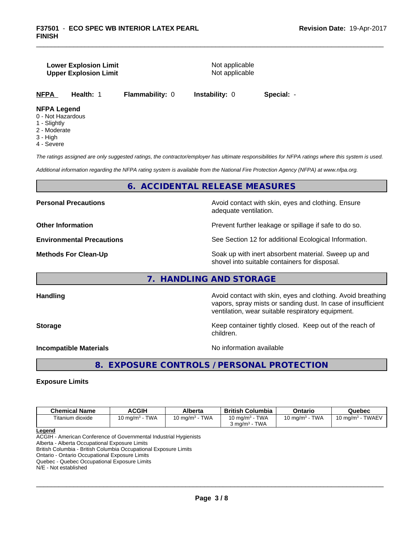#### **Lower Explosion Limit** Not applicable **Upper Explosion Limit** Not applicable

**NFPA Health:** 1 **Flammability:** 0 **Instability:** 0 **Special:** -

## **NFPA Legend**

- 0 Not Hazardous
- 1 Slightly
- 2 Moderate
- 3 High
- 4 Severe

*The ratings assigned are only suggested ratings, the contractor/employer has ultimate responsibilities for NFPA ratings where this system is used.*

*Additional information regarding the NFPA rating system is available from the National Fire Protection Agency (NFPA) at www.nfpa.org.*

### **6. ACCIDENTAL RELEASE MEASURES**

**Personal Precautions Avoid contact with skin, eyes and clothing. Ensure** Avoid contact with skin, eyes and clothing. Ensure adequate ventilation.

**Other Information Determined Information Prevent further leakage or spillage if safe to do so.** 

**Environmental Precautions** See Section 12 for additional Ecological Information.

**Methods For Clean-Up Example 20 All 20 All 20 All 20 Soak** up with inert absorbent material. Sweep up and shovel into suitable containers for disposal.

#### **7. HANDLING AND STORAGE**

Handling **Handling Avoid contact with skin, eyes and clothing. Avoid breathing Handling** vapors, spray mists or sanding dust. In case of insufficient ventilation, wear suitable respiratory equipment.

**Storage Keep container tightly closed. Keep out of the reach of Keep** container tightly closed. Keep out of the reach of children.

**Incompatible Materials Incompatible Materials** 

 $\overline{\phantom{a}}$  ,  $\overline{\phantom{a}}$  ,  $\overline{\phantom{a}}$  ,  $\overline{\phantom{a}}$  ,  $\overline{\phantom{a}}$  ,  $\overline{\phantom{a}}$  ,  $\overline{\phantom{a}}$  ,  $\overline{\phantom{a}}$  ,  $\overline{\phantom{a}}$  ,  $\overline{\phantom{a}}$  ,  $\overline{\phantom{a}}$  ,  $\overline{\phantom{a}}$  ,  $\overline{\phantom{a}}$  ,  $\overline{\phantom{a}}$  ,  $\overline{\phantom{a}}$  ,  $\overline{\phantom{a}}$ 

**8. EXPOSURE CONTROLS / PERSONAL PROTECTION**

#### **Exposure Limits**

| <b>Chemical Name</b> | <b>ACGIH</b>                                | Alberta                    | ∖ Columbia<br>British             | Ontario                   | Quebec                                |
|----------------------|---------------------------------------------|----------------------------|-----------------------------------|---------------------------|---------------------------------------|
| Titanium dioxide     | <b>TWA</b><br>$\sim$<br>$10 \text{ ma/m}^3$ | <b>TWA</b><br>10 ma/m $^3$ | <b>TWA</b><br>$10 \text{ ma/m}^3$ | <b>TWA</b><br>10 mg/m $3$ | <b>TWAEV</b><br>. J ma/m <sup>3</sup> |
|                      |                                             |                            | <b>TWA</b><br>് ma/m <sup>3</sup> |                           |                                       |

**Legend**

ACGIH - American Conference of Governmental Industrial Hygienists

Alberta - Alberta Occupational Exposure Limits

British Columbia - British Columbia Occupational Exposure Limits

Ontario - Ontario Occupational Exposure Limits

Quebec - Quebec Occupational Exposure Limits

N/E - Not established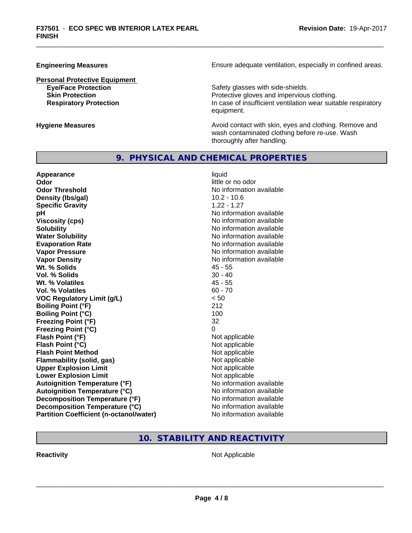**Personal Protective Equipment**

**Engineering Measures Ensure** Ensure adequate ventilation, especially in confined areas.

**Eye/Face Protection Eye/Face Protection Safety glasses with side-shields. Skin Protection Protection Protective gloves and impervious clothing. Respiratory Protection In case of insufficient ventilation wear suitable respiratory** equipment.

**Hygiene Measures Avoid contact with skin, eyes and clothing. Remove and Avoid contact with skin, eyes and clothing. Remove and Avoid contact with skin, eyes and clothing. Remove and** wash contaminated clothing before re-use. Wash thoroughly after handling.

#### **9. PHYSICAL AND CHEMICAL PROPERTIES**

**Appearance** liquid **Odor** little or no odor **Odor Threshold No information available** No information available **Density (Ibs/gal)** 10.2 - 10.6 **Specific Gravity** 1.22 - 1.27 **pH pH**  $\blacksquare$ **Viscosity (cps)** No information available **Solubility** No information available **Water Solubility Water Solubility No information available Evaporation Rate No information available No information available Vapor Pressure** No information available **Vapor Density**<br> **We Solids**<br>
We Solids
25 - 55<br>
25 - 55 Wt. % Solids **Vol. % Solids** 30 - 40 **Wt. % Volatiles** 45 - 55 **Vol. % Volatiles** 60 - 70 **VOC Regulatory Limit (g/L)** < 50 **Boiling Point (°F)** 212 **Boiling Point (°C)** 100 **Freezing Point (°F)** 32 **Freezing Point (°C)** 0 **Flash Point (°F)** Not applicable **Flash Point (°C)** Not applicable **Flash Point Method** Not applicable **Flammability (solid, gas)** Not applicable **Upper Explosion Limit** Not applicable **Lower Explosion Limit**<br> **Autoignition Temperature (°F)** Autoignition available<br>
No information available **Autoignition Temperature (°F) Autoignition Temperature (°C)** No information available **Decomposition Temperature (°F)** No information available **Decomposition Temperature (°C)** No information available **Partition Coefficient (n-octanol/water)** No information available

**10. STABILITY AND REACTIVITY**

**Reactivity** Not Applicable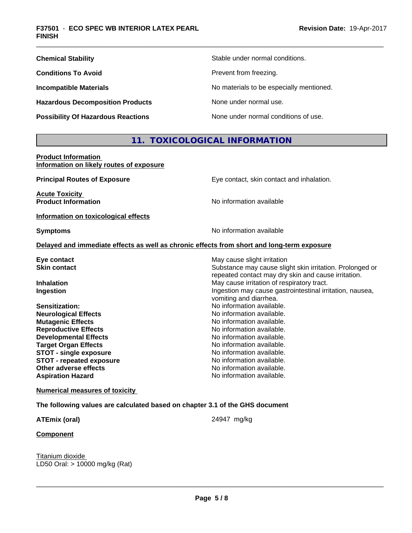| <b>Chemical Stability</b>                 | Stable under normal conditions.          |
|-------------------------------------------|------------------------------------------|
| <b>Conditions To Avoid</b>                | Prevent from freezing.                   |
| <b>Incompatible Materials</b>             | No materials to be especially mentioned. |
| <b>Hazardous Decomposition Products</b>   | None under normal use.                   |
| <b>Possibility Of Hazardous Reactions</b> | None under normal conditions of use.     |

## **11. TOXICOLOGICAL INFORMATION**

**Product Information Information on likely routes of exposure**

| <b>Principal Routes of Exposure</b>                 | Eye contact, skin contact and inhalation.                                                  |  |  |
|-----------------------------------------------------|--------------------------------------------------------------------------------------------|--|--|
| <b>Acute Toxicity</b><br><b>Product Information</b> | No information available                                                                   |  |  |
| Information on toxicological effects                |                                                                                            |  |  |
| <b>Symptoms</b>                                     | No information available                                                                   |  |  |
|                                                     | Delayed and immediate effects as well as chronic effects from short and long-term exposure |  |  |
| Eye contact                                         | May cause slight irritation                                                                |  |  |
| <b>Skin contact</b>                                 | Substance may cause slight skin irritation. Prolonged or                                   |  |  |
|                                                     | repeated contact may dry skin and cause irritation.                                        |  |  |
| <b>Inhalation</b>                                   | May cause irritation of respiratory tract.                                                 |  |  |
| Ingestion                                           | Ingestion may cause gastrointestinal irritation, nausea,                                   |  |  |
|                                                     | vomiting and diarrhea.                                                                     |  |  |
| Sensitization:                                      | No information available.                                                                  |  |  |
| <b>Neurological Effects</b>                         | No information available.                                                                  |  |  |
| <b>Mutagenic Effects</b>                            | No information available.                                                                  |  |  |
| <b>Reproductive Effects</b>                         | No information available.                                                                  |  |  |
| <b>Developmental Effects</b>                        | No information available.                                                                  |  |  |
| <b>Target Organ Effects</b>                         | No information available.                                                                  |  |  |
| <b>STOT - single exposure</b>                       | No information available.                                                                  |  |  |
| <b>STOT - repeated exposure</b>                     | No information available.                                                                  |  |  |
| Other adverse effects                               | No information available.                                                                  |  |  |
| <b>Aspiration Hazard</b>                            | No information available.                                                                  |  |  |
| <b>Numerical measures of toxicity</b>               |                                                                                            |  |  |

**The following values are calculated based on chapter 3.1 of the GHS document**

**ATEmix (oral)** 24947 mg/kg

 $\overline{\phantom{a}}$  ,  $\overline{\phantom{a}}$  ,  $\overline{\phantom{a}}$  ,  $\overline{\phantom{a}}$  ,  $\overline{\phantom{a}}$  ,  $\overline{\phantom{a}}$  ,  $\overline{\phantom{a}}$  ,  $\overline{\phantom{a}}$  ,  $\overline{\phantom{a}}$  ,  $\overline{\phantom{a}}$  ,  $\overline{\phantom{a}}$  ,  $\overline{\phantom{a}}$  ,  $\overline{\phantom{a}}$  ,  $\overline{\phantom{a}}$  ,  $\overline{\phantom{a}}$  ,  $\overline{\phantom{a}}$ 

**Component**

Titanium dioxide LD50 Oral: > 10000 mg/kg (Rat)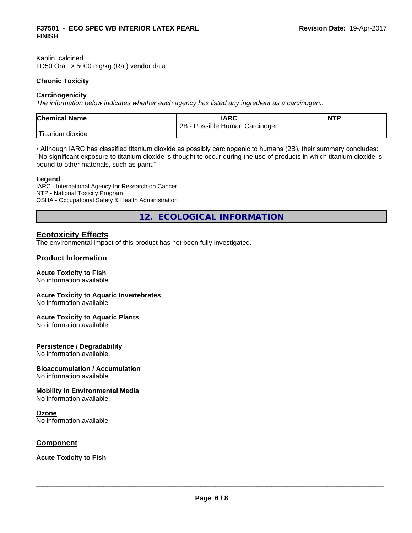#### Kaolin, calcined

LD50 Oral: > 5000 mg/kg (Rat) vendor data

#### **Chronic Toxicity**

#### **Carcinogenicity**

*The information below indicateswhether each agency has listed any ingredient as a carcinogen:.*

| <b>Chemical Name</b>    | <b>IARC</b>                     | <b>NTP</b> |
|-------------------------|---------------------------------|------------|
|                         | 2B<br>Possible Human Carcinogen |            |
| Titanium J<br>, dioxide |                                 |            |

• Although IARC has classified titanium dioxide as possibly carcinogenic to humans (2B), their summary concludes: "No significant exposure to titanium dioxide is thought to occur during the use of products in which titanium dioxide is bound to other materials, such as paint."

#### **Legend**

IARC - International Agency for Research on Cancer NTP - National Toxicity Program OSHA - Occupational Safety & Health Administration

**12. ECOLOGICAL INFORMATION**

### **Ecotoxicity Effects**

The environmental impact of this product has not been fully investigated.

#### **Product Information**

#### **Acute Toxicity to Fish**

No information available

#### **Acute Toxicity to Aquatic Invertebrates**

No information available

#### **Acute Toxicity to Aquatic Plants**

No information available

#### **Persistence / Degradability**

No information available.

#### **Bioaccumulation / Accumulation**

No information available.

#### **Mobility in Environmental Media**

No information available.

#### **Ozone**

No information available

#### **Component**

#### **Acute Toxicity to Fish**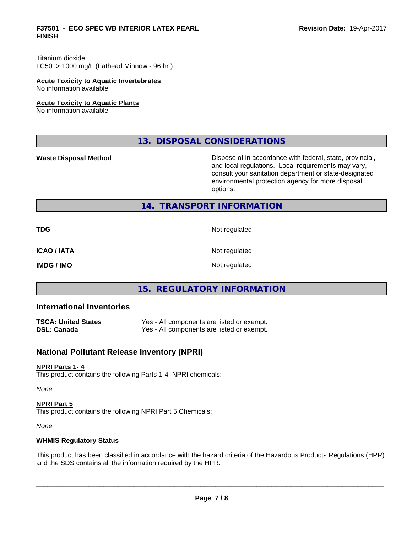## \_\_\_\_\_\_\_\_\_\_\_\_\_\_\_\_\_\_\_\_\_\_\_\_\_\_\_\_\_\_\_\_\_\_\_\_\_\_\_\_\_\_\_\_\_\_\_\_\_\_\_\_\_\_\_\_\_\_\_\_\_\_\_\_\_\_\_\_\_\_\_\_\_\_\_\_\_\_\_\_\_\_\_\_\_\_\_\_\_\_\_\_\_ **F37501** - **ECO SPEC WB INTERIOR LATEX PEARL FINISH**

#### Titanium dioxide

 $LC50:$  > 1000 mg/L (Fathead Minnow - 96 hr.)

#### **Acute Toxicity to Aquatic Invertebrates**

No information available

#### **Acute Toxicity to Aquatic Plants**

No information available

**13. DISPOSAL CONSIDERATIONS**

**Waste Disposal Method Dispose of in accordance with federal, state, provincial,** and local regulations. Local requirements may vary, consult your sanitation department or state-designated environmental protection agency for more disposal options.

#### **14. TRANSPORT INFORMATION**

| <b>TDG</b>         | Not regulated |
|--------------------|---------------|
| <b>ICAO / IATA</b> | Not regulated |
| <b>IMDG / IMO</b>  | Not regulated |

## **15. REGULATORY INFORMATION**

### **International Inventories**

| TSCA: United States | Yes - All components are listed or exempt. |
|---------------------|--------------------------------------------|
| DSL: Canada         | Yes - All components are listed or exempt. |

## **National Pollutant Release Inventory (NPRI)**

#### **NPRI Parts 1- 4**

This product contains the following Parts 1-4 NPRI chemicals:

*None*

#### **NPRI Part 5** This product contains the following NPRI Part 5 Chemicals:

*None*

#### **WHMIS Regulatory Status**

This product has been classified in accordance with the hazard criteria of the Hazardous Products Regulations (HPR) and the SDS contains all the information required by the HPR.